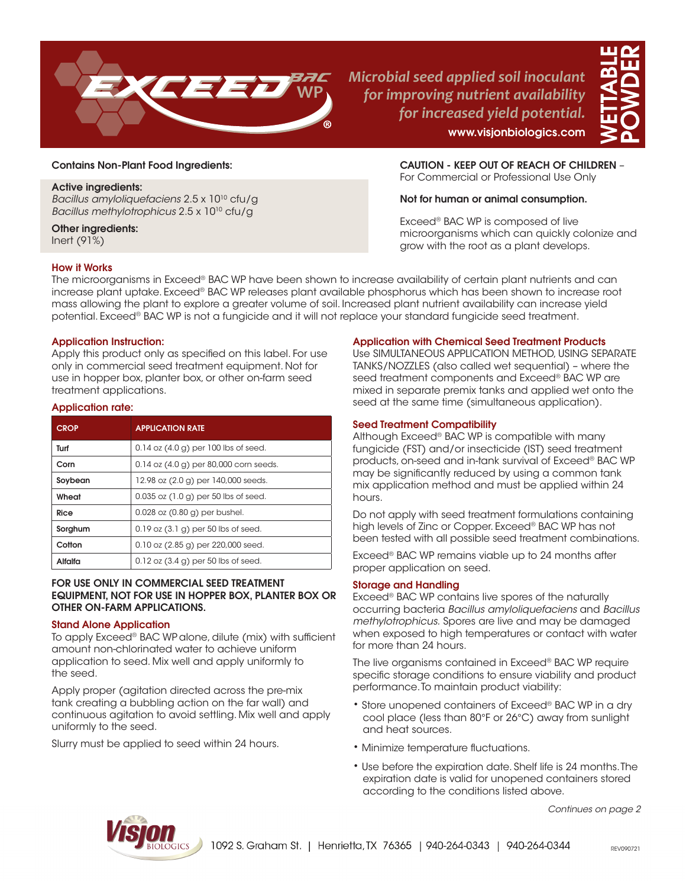

*Microbial seed applied soil inoculant for improving nutrient availability for increased yield potential.* www.visjonbiologics.com



#### Contains Non-Plant Food Ingredients:

#### Active ingredients:

Bacillus amyloliquefaciens 2.5 x 10<sup>10</sup> cfu/g Bacillus methylotrophicus 2.5 x 1010 cfu/g

# Other ingredients:

Inert (91%)

# Not for human or animal consumption.

Exceed® BAC WP is composed of live microorganisms which can quickly colonize and grow with the root as a plant develops.

CAUTION - KEEP OUT OF REACH OF CHILDREN – For Commercial or Professional Use Only

## How it Works

The microorganisms in Exceed® BAC WP have been shown to increase availability of certain plant nutrients and can increase plant uptake. Exceed® BAC WP releases plant available phosphorus which has been shown to increase root mass allowing the plant to explore a greater volume of soil. Increased plant nutrient availability can increase yield potential. Exceed® BAC WP is not a fungicide and it will not replace your standard fungicide seed treatment.

## Application Instruction:

Apply this product only as specified on this label. For use only in commercial seed treatment equipment. Not for use in hopper box, planter box, or other on-farm seed treatment applications.

#### Application rate:

| <b>CROP</b> | <b>APPLICATION RATE</b>                  |
|-------------|------------------------------------------|
| Turf        | $0.14$ oz $(4.0 g)$ per 100 lbs of seed. |
| Corn        | 0.14 oz (4.0 g) per 80,000 corn seeds.   |
| Soybean     | 12.98 oz (2.0 g) per 140,000 seeds.      |
| Wheat       | $0.035$ oz $(1.0 g)$ per 50 lbs of seed. |
| Rice        | $0.028$ oz $(0.80$ g) per bushel.        |
| Sorghum     | $0.19$ oz $(3.1)$ g) per 50 lbs of seed. |
| Cotton      | $0.10$ oz $(2.85$ g) per 220,000 seed.   |
| Alfalfa     | $0.12$ oz $(3.4 g)$ per 50 lbs of seed.  |

#### FOR USE ONLY IN COMMERCIAL SEED TREATMENT EQUIPMENT, NOT FOR USE IN HOPPER BOX, PLANTER BOX OR OTHER ON-FARM APPLICATIONS.

#### Stand Alone Application

To apply Exceed® BAC WPalone, dilute (mix) with sufficient amount non-chlorinated water to achieve uniform application to seed. Mix well and apply uniformly to the seed.

Apply proper (agitation directed across the pre-mix tank creating a bubbling action on the far wall) and continuous agitation to avoid settling. Mix well and apply uniformly to the seed.

Slurry must be applied to seed within 24 hours.

## Application with Chemical Seed Treatment Products

Use SIMULTANEOUS APPLICATION METHOD, USING SEPARATE TANKS/NOZZLES (also called wet sequential) – where the seed treatment components and Exceed® BAC WP are mixed in separate premix tanks and applied wet onto the seed at the same time (simultaneous application).

#### Seed Treatment Compatibility

Although Exceed® BAC WP is compatible with many fungicide (FST) and/or insecticide (IST) seed treatment products, on-seed and in-tank survival of Exceed® BAC WP may be significantly reduced by using a common tank mix application method and must be applied within 24 hours.

Do not apply with seed treatment formulations containing high levels of Zinc or Copper. Exceed® BAC WP has not been tested with all possible seed treatment combinations.

Exceed® BAC WP remains viable up to 24 months after proper application on seed.

## Storage and Handling

Exceed® BAC WP contains live spores of the naturally occurring bacteria Bacillus amyloliquefaciens and Bacillus methylotrophicus. Spores are live and may be damaged when exposed to high temperatures or contact with water for more than 24 hours.

The live organisms contained in Exceed® BAC WP require specific storage conditions to ensure viability and product performance. To maintain product viability:

- Store unopened containers of Exceed® BAC WP in a dry cool place (less than 80°F or 26°C) away from sunlight and heat sources.
- Minimize temperature fluctuations.
- Use before the expiration date. Shelf life is 24 months. The expiration date is valid for unopened containers stored according to the conditions listed above.

Continues on page 2